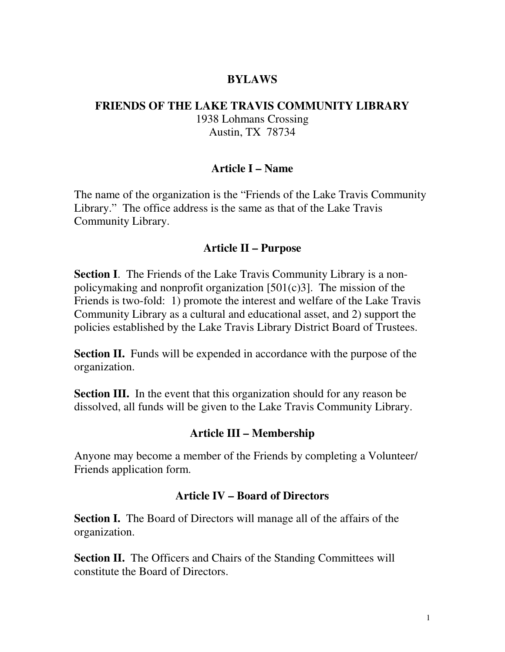### **BYLAWS**

#### **FRIENDS OF THE LAKE TRAVIS COMMUNITY LIBRARY**  1938 Lohmans Crossing

Austin, TX 78734

### **Article I – Name**

The name of the organization is the "Friends of the Lake Travis Community Library." The office address is the same as that of the Lake Travis Community Library.

#### **Article II – Purpose**

**Section I**. The Friends of the Lake Travis Community Library is a nonpolicymaking and nonprofit organization  $[501(c)3]$ . The mission of the Friends is two-fold: 1) promote the interest and welfare of the Lake Travis Community Library as a cultural and educational asset, and 2) support the policies established by the Lake Travis Library District Board of Trustees.

**Section II.** Funds will be expended in accordance with the purpose of the organization.

**Section III.** In the event that this organization should for any reason be dissolved, all funds will be given to the Lake Travis Community Library.

#### **Article III – Membership**

Anyone may become a member of the Friends by completing a Volunteer/ Friends application form.

#### **Article IV – Board of Directors**

**Section I.** The Board of Directors will manage all of the affairs of the organization.

**Section II.** The Officers and Chairs of the Standing Committees will constitute the Board of Directors.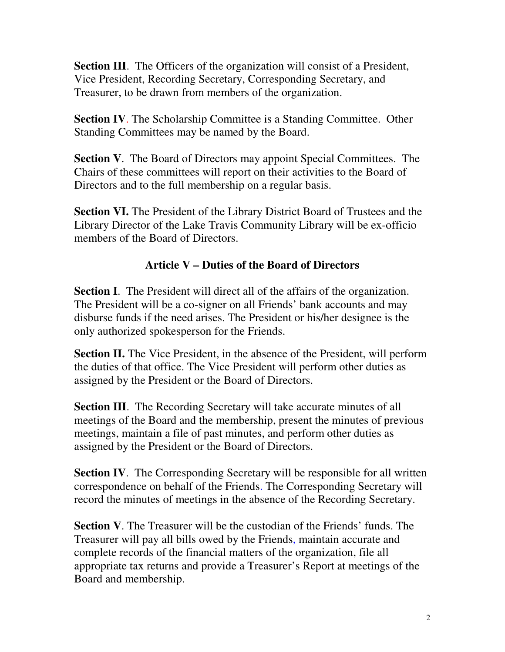**Section III.** The Officers of the organization will consist of a President, Vice President, Recording Secretary, Corresponding Secretary, and Treasurer, to be drawn from members of the organization.

**Section IV.** The Scholarship Committee is a Standing Committee. Other Standing Committees may be named by the Board.

**Section V**. The Board of Directors may appoint Special Committees. The Chairs of these committees will report on their activities to the Board of Directors and to the full membership on a regular basis.

**Section VI.** The President of the Library District Board of Trustees and the Library Director of the Lake Travis Community Library will be ex-officio members of the Board of Directors.

# **Article V – Duties of the Board of Directors**

**Section I**. The President will direct all of the affairs of the organization. The President will be a co-signer on all Friends' bank accounts and may disburse funds if the need arises. The President or his/her designee is the only authorized spokesperson for the Friends.

**Section II.** The Vice President, in the absence of the President, will perform the duties of that office. The Vice President will perform other duties as assigned by the President or the Board of Directors.

**Section III.** The Recording Secretary will take accurate minutes of all meetings of the Board and the membership, present the minutes of previous meetings, maintain a file of past minutes, and perform other duties as assigned by the President or the Board of Directors.

**Section IV.** The Corresponding Secretary will be responsible for all written correspondence on behalf of the Friends. The Corresponding Secretary will record the minutes of meetings in the absence of the Recording Secretary.

**Section V**. The Treasurer will be the custodian of the Friends' funds. The Treasurer will pay all bills owed by the Friends, maintain accurate and complete records of the financial matters of the organization, file all appropriate tax returns and provide a Treasurer's Report at meetings of the Board and membership.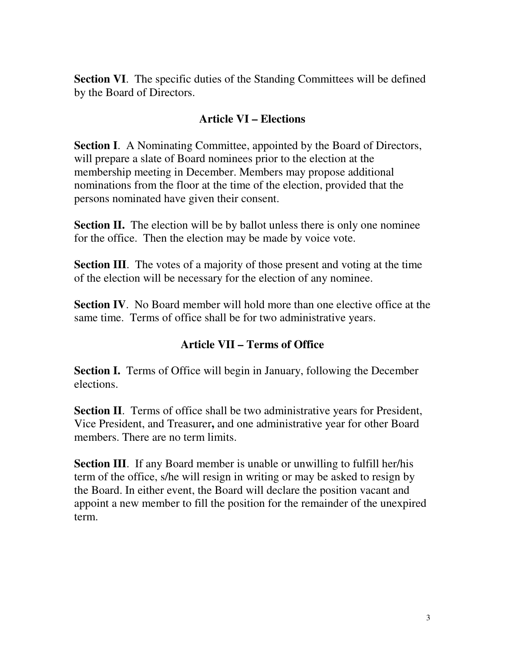**Section VI.** The specific duties of the Standing Committees will be defined by the Board of Directors.

## **Article VI – Elections**

**Section I.** A Nominating Committee, appointed by the Board of Directors, will prepare a slate of Board nominees prior to the election at the membership meeting in December. Members may propose additional nominations from the floor at the time of the election, provided that the persons nominated have given their consent.

**Section II.** The election will be by ballot unless there is only one nominee for the office. Then the election may be made by voice vote.

**Section III**. The votes of a majority of those present and voting at the time of the election will be necessary for the election of any nominee.

**Section IV.** No Board member will hold more than one elective office at the same time. Terms of office shall be for two administrative years.

## **Article VII – Terms of Office**

**Section I.** Terms of Office will begin in January, following the December elections.

**Section II**. Terms of office shall be two administrative years for President, Vice President, and Treasurer**,** and one administrative year for other Board members. There are no term limits.

**Section III**. If any Board member is unable or unwilling to fulfill her/his term of the office, s/he will resign in writing or may be asked to resign by the Board. In either event, the Board will declare the position vacant and appoint a new member to fill the position for the remainder of the unexpired term.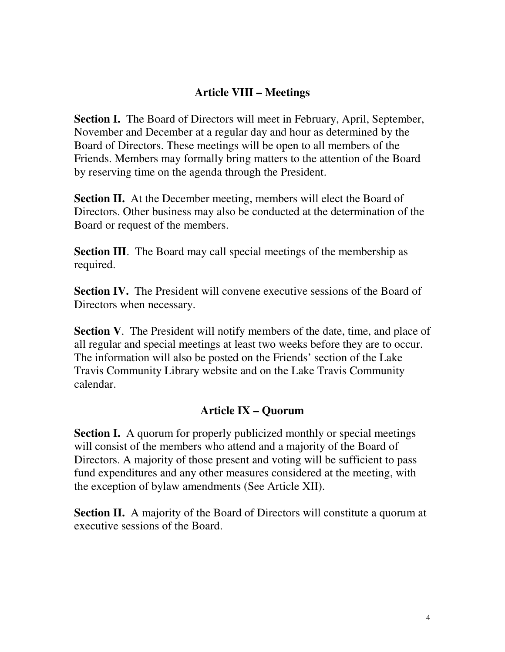### **Article VIII – Meetings**

**Section I.** The Board of Directors will meet in February, April, September, November and December at a regular day and hour as determined by the Board of Directors. These meetings will be open to all members of the Friends. Members may formally bring matters to the attention of the Board by reserving time on the agenda through the President.

**Section II.** At the December meeting, members will elect the Board of Directors. Other business may also be conducted at the determination of the Board or request of the members.

**Section III**. The Board may call special meetings of the membership as required.

**Section IV.** The President will convene executive sessions of the Board of Directors when necessary.

**Section V**. The President will notify members of the date, time, and place of all regular and special meetings at least two weeks before they are to occur. The information will also be posted on the Friends' section of the Lake Travis Community Library website and on the Lake Travis Community calendar.

### **Article IX – Quorum**

**Section I.** A quorum for properly publicized monthly or special meetings will consist of the members who attend and a majority of the Board of Directors. A majority of those present and voting will be sufficient to pass fund expenditures and any other measures considered at the meeting, with the exception of bylaw amendments (See Article XII).

**Section II.** A majority of the Board of Directors will constitute a quorum at executive sessions of the Board.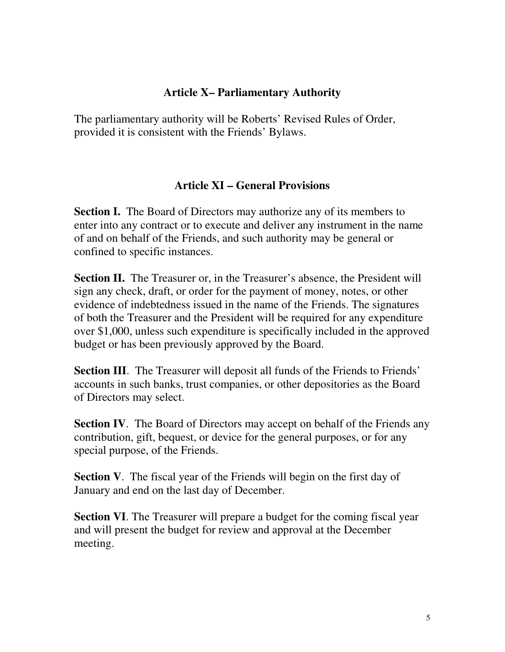## **Article X– Parliamentary Authority**

The parliamentary authority will be Roberts' Revised Rules of Order, provided it is consistent with the Friends' Bylaws.

## **Article XI – General Provisions**

**Section I.** The Board of Directors may authorize any of its members to enter into any contract or to execute and deliver any instrument in the name of and on behalf of the Friends, and such authority may be general or confined to specific instances.

**Section II.** The Treasurer or, in the Treasurer's absence, the President will sign any check, draft, or order for the payment of money, notes, or other evidence of indebtedness issued in the name of the Friends. The signatures of both the Treasurer and the President will be required for any expenditure over \$1,000, unless such expenditure is specifically included in the approved budget or has been previously approved by the Board.

**Section III.** The Treasurer will deposit all funds of the Friends to Friends' accounts in such banks, trust companies, or other depositories as the Board of Directors may select.

**Section IV.** The Board of Directors may accept on behalf of the Friends any contribution, gift, bequest, or device for the general purposes, or for any special purpose, of the Friends.

**Section V.** The fiscal year of the Friends will begin on the first day of January and end on the last day of December.

**Section VI**. The Treasurer will prepare a budget for the coming fiscal year and will present the budget for review and approval at the December meeting.